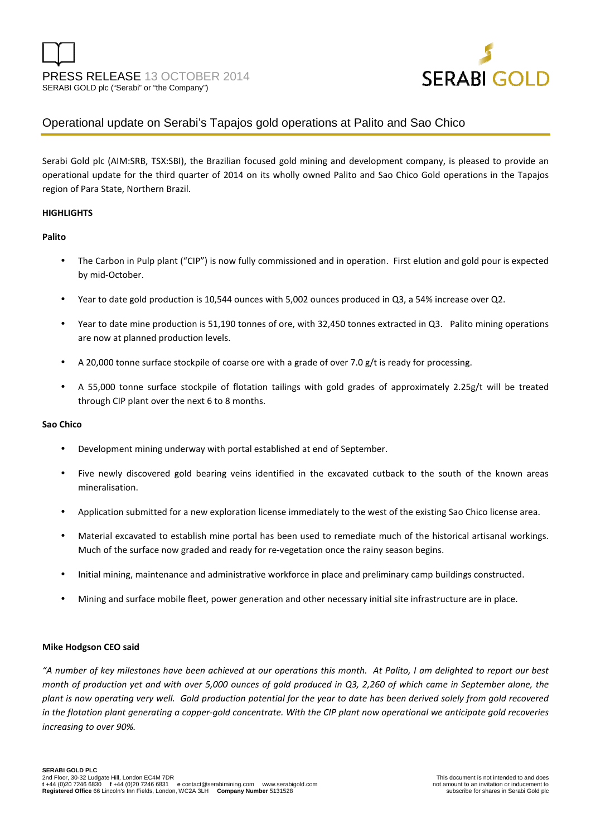

# Operational update on Serabi's Tapajos gold operations at Palito and Sao Chico

Serabi Gold plc (AIM:SRB, TSX:SBI), the Brazilian focused gold mining and development company, is pleased to provide an operational update for the third quarter of 2014 on its wholly owned Palito and Sao Chico Gold operations in the Tapajos region of Para State, Northern Brazil.

## **HIGHLIGHTS**

## **Palito**

- The Carbon in Pulp plant ("CIP") is now fully commissioned and in operation. First elution and gold pour is expected by mid-October.
- Year to date gold production is 10,544 ounces with 5,002 ounces produced in Q3, a 54% increase over Q2.
- Year to date mine production is 51,190 tonnes of ore, with 32,450 tonnes extracted in Q3. Palito mining operations are now at planned production levels.
- A 20,000 tonne surface stockpile of coarse ore with a grade of over 7.0 g/t is ready for processing.
- A 55,000 tonne surface stockpile of flotation tailings with gold grades of approximately 2.25g/t will be treated through CIP plant over the next 6 to 8 months.

# **Sao Chico**

- Development mining underway with portal established at end of September.
- Five newly discovered gold bearing veins identified in the excavated cutback to the south of the known areas mineralisation.
- Application submitted for a new exploration license immediately to the west of the existing Sao Chico license area.
- Material excavated to establish mine portal has been used to remediate much of the historical artisanal workings. Much of the surface now graded and ready for re-vegetation once the rainy season begins.
- Initial mining, maintenance and administrative workforce in place and preliminary camp buildings constructed.
- Mining and surface mobile fleet, power generation and other necessary initial site infrastructure are in place.

# **Mike Hodgson CEO said**

*"A number of key milestones have been achieved at our operations this month. At Palito, I am delighted to report our best month of production yet and with over 5,000 ounces of gold produced in Q3, 2,260 of which came in September alone, the plant is now operating very well. Gold production potential for the year to date has been derived solely from gold recovered in the flotation plant generating a copper-gold concentrate. With the CIP plant now operational we anticipate gold recoveries increasing to over 90%.*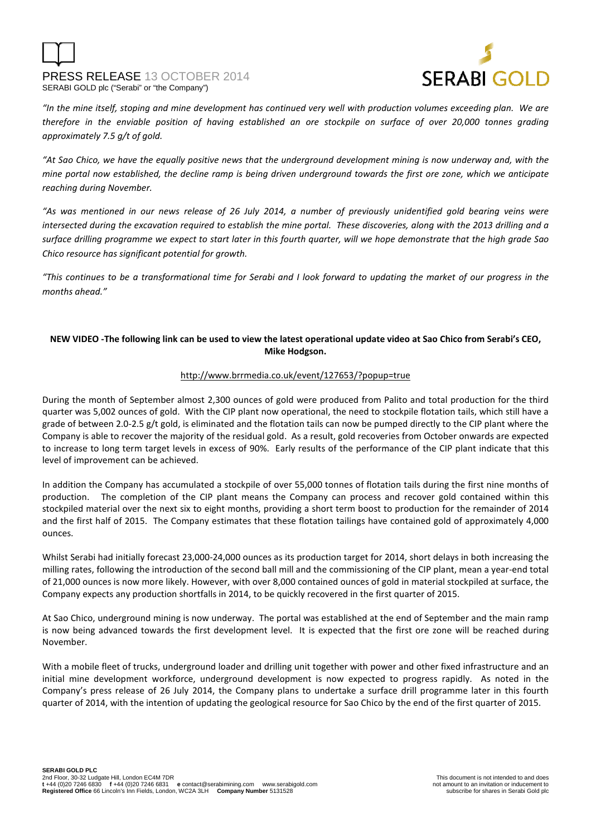



*"In the mine itself, stoping and mine development has continued very well with production volumes exceeding plan. We are therefore in the enviable position of having established an ore stockpile on surface of over 20,000 tonnes grading approximately 7.5 g/t of gold.* 

*"At Sao Chico, we have the equally positive news that the underground development mining is now underway and, with the mine portal now established, the decline ramp is being driven underground towards the first ore zone, which we anticipate reaching during November.* 

*"As was mentioned in our news release of 26 July 2014, a number of previously unidentified gold bearing veins were intersected during the excavation required to establish the mine portal. These discoveries, along with the 2013 drilling and a surface drilling programme we expect to start later in this fourth quarter, will we hope demonstrate that the high grade Sao Chico resource has significant potential for growth.* 

*"This continues to be a transformational time for Serabi and I look forward to updating the market of our progress in the months ahead."*

# **NEW VIDEO -The following link can be used to view the latest operational update video at Sao Chico from Serabi's CEO, Mike Hodgson.**

# http://www.brrmedia.co.uk/event/127653/?popup=true

During the month of September almost 2,300 ounces of gold were produced from Palito and total production for the third quarter was 5,002 ounces of gold. With the CIP plant now operational, the need to stockpile flotation tails, which still have a grade of between 2.0-2.5 g/t gold, is eliminated and the flotation tails can now be pumped directly to the CIP plant where the Company is able to recover the majority of the residual gold. As a result, gold recoveries from October onwards are expected to increase to long term target levels in excess of 90%. Early results of the performance of the CIP plant indicate that this level of improvement can be achieved.

In addition the Company has accumulated a stockpile of over 55,000 tonnes of flotation tails during the first nine months of production. The completion of the CIP plant means the Company can process and recover gold contained within this stockpiled material over the next six to eight months, providing a short term boost to production for the remainder of 2014 and the first half of 2015. The Company estimates that these flotation tailings have contained gold of approximately 4,000 ounces.

Whilst Serabi had initially forecast 23,000-24,000 ounces as its production target for 2014, short delays in both increasing the milling rates, following the introduction of the second ball mill and the commissioning of the CIP plant, mean a year-end total of 21,000 ounces is now more likely. However, with over 8,000 contained ounces of gold in material stockpiled at surface, the Company expects any production shortfalls in 2014, to be quickly recovered in the first quarter of 2015.

At Sao Chico, underground mining is now underway. The portal was established at the end of September and the main ramp is now being advanced towards the first development level. It is expected that the first ore zone will be reached during November.

With a mobile fleet of trucks, underground loader and drilling unit together with power and other fixed infrastructure and an initial mine development workforce, underground development is now expected to progress rapidly. As noted in the Company's press release of 26 July 2014, the Company plans to undertake a surface drill programme later in this fourth quarter of 2014, with the intention of updating the geological resource for Sao Chico by the end of the first quarter of 2015.